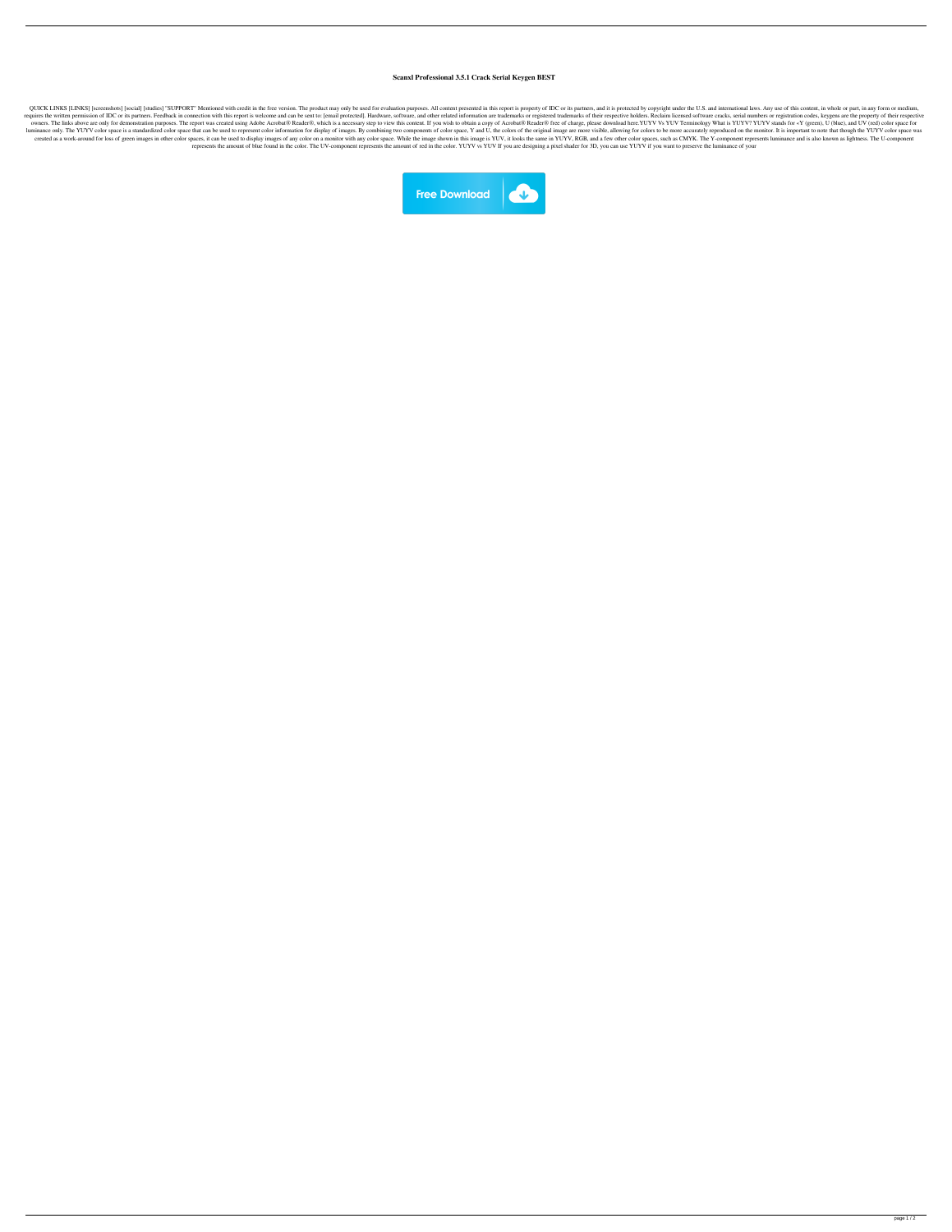## **Scanxl Professional 3.5.1 Crack Serial Keygen BEST**

QUICK LINKS] [screenshots] [social] [studies] "SUPPORT" Mentioned with credit in the free version. The product may only be used for evaluation purposes. All content presented in this report is property of IDC or its partne requires the written permission of IDC or its partners. Feedback in connection with this report is welcome and can be sent to: [email protected]. Hardware, software, and other related information are trademarks of their re owners. The links above are only for demonstration purposes. The report was created using Adobe Acrobat® Reader®, which is a necessary step to view this content. If you wish to obtain a copy of Acrobat® Reader® free of cha luminance only. The YUYV color space is a standardized color space that can be used to represent color information for display of images. By combining two components of color space, Y and U, the colors of the original imag created as a work-around for loss of green images in other color spaces, it can be used to display images of any color on a monitor with any color space. While the image shown in this image is YUV, it looks the same in YUY represents the amount of blue found in the color. The UV-component represents the amount of red in the color. YUYV vs YUV If you are designing a pixel shader for 3D, you can use YUYV if you want to preserve the luminance o